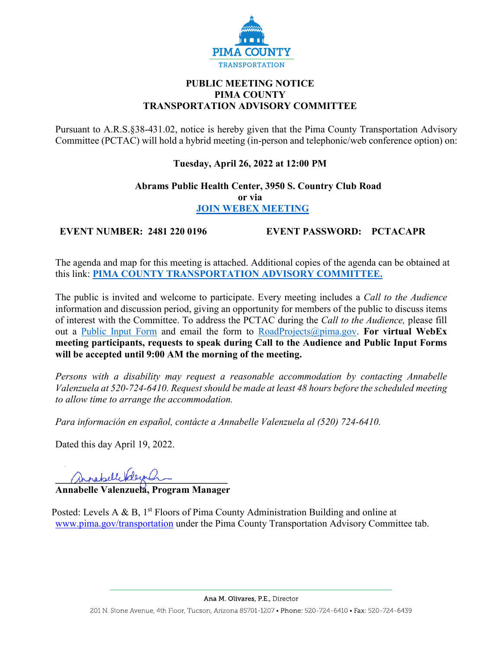

# **PUBLIC MEETING NOTICE PIMA COUNTY TRANSPORTATION ADVISORY COMMITTEE**

Pursuant to A.R.S.§38-431.02, notice is hereby given that the Pima County Transportation Advisory Committee (PCTAC) will hold a hybrid meeting (in-person and telephonic/web conference option) on:

# **Tuesday, April 26, 2022 at 12:00 PM**

### **Abrams Public Health Center, 3950 S. Country Club Road or via [JOIN WEBEX MEETING](https://pimacounty.webex.com/mw3300/mywebex/default.do?siteurl=pimacounty&service=6)**

**EVENT NUMBER: 2481 220 0196 EVENT PASSWORD: PCTACAPR**

The agenda and map for this meeting is attached. Additional copies of the agenda can be obtained at this link: **[PIMA COUNTY TRANSPORTATION ADVISORY COMMITTEE.](https://webcms.pima.gov/cms/One.aspx?portalId=169&pageId=355530)**

The public is invited and welcome to participate. Every meeting includes a *Call to the Audience*  information and discussion period, giving an opportunity for members of the public to discuss items of interest with the Committee. To address the PCTAC during the *Call to the Audience,* please fill out a [Public Input Form](https://webcms.pima.gov/UserFiles/Servers/Server_6/File/Government/Transportation/TransportationAdvisoryCommittee/PCTAC_Speaker_Card.pdf) and email the form to [RoadProjects@pima.gov.](mailto:RoadProjects@pima.gov) **For virtual WebEx meeting participants, requests to speak during Call to the Audience and Public Input Forms will be accepted until 9:00 AM the morning of the meeting.** 

*Persons with a disability may request a reasonable accommodation by contacting Annabelle Valenzuela at 520-724-6410. Request should be made at least 48 hours before the scheduled meeting to allow time to arrange the accommodation.*

*Para información en español, contácte a Annabelle Valenzuela al (520) 724-6410.*

Dated this day April 19, 2022.

annabell Valera C

**Annabelle Valenzuela, Program Manager** 

Posted: Levels A & B,  $1<sup>st</sup>$  Floors of Pima County Administration Building and online at [www.pima.gov/transportation](http://www.pima.gov/transportation) under the Pima County Transportation Advisory Committee tab.